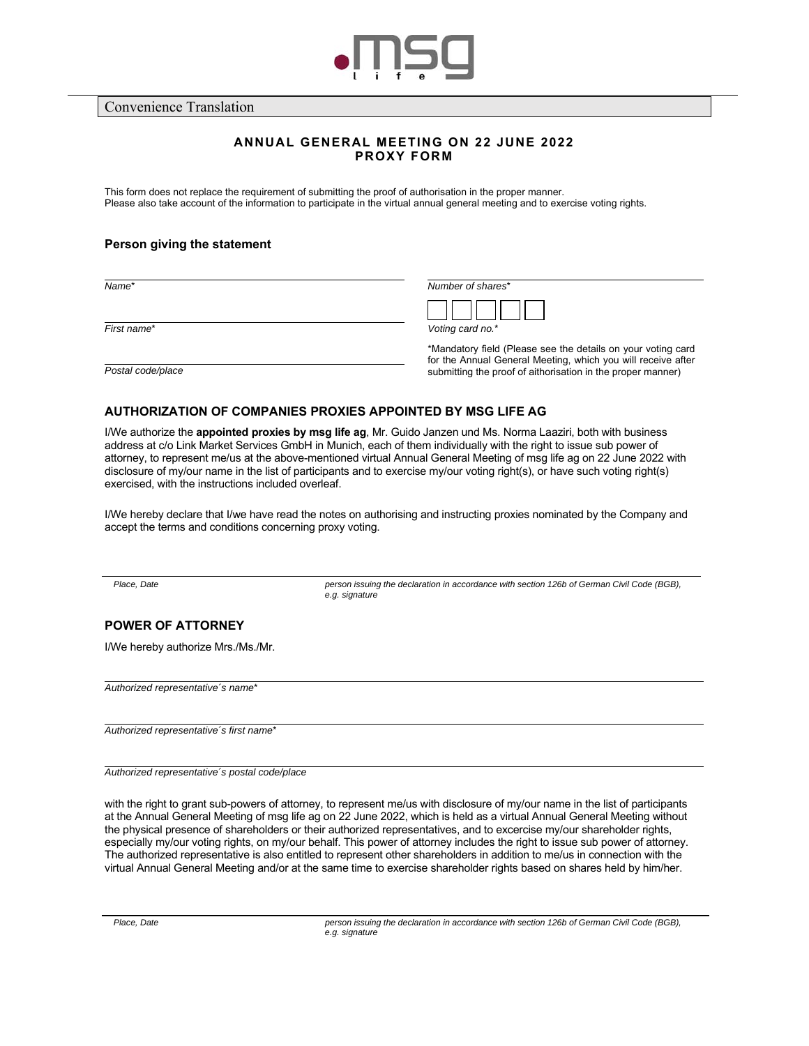

Convenience Translation

# **ANNUAL GENERAL MEETING ON 22 JUNE 2022 PROXY FORM**

This form does not replace the requirement of submitting the proof of authorisation in the proper manner. Please also take account of the information to participate in the virtual annual general meeting and to exercise voting rights.

## **Person giving the statement**

*First name*\* *Voting card no.*\*

*Name*\* *Number of shares*\*

| 'otina card no $*$ |  |  |
|--------------------|--|--|

 \*Mandatory field (Please see the details on your voting card for the Annual General Meeting, which you will receive after **Postal code/place postal code/place submitting the proof of aithorisation in the proper manner)** 

## **AUTHORIZATION OF COMPANIES PROXIES APPOINTED BY MSG LIFE AG**

I/We authorize the **appointed proxies by msg life ag**, Mr. Guido Janzen und Ms. Norma Laaziri, both with business address at c/o Link Market Services GmbH in Munich, each of them individually with the right to issue sub power of attorney, to represent me/us at the above-mentioned virtual Annual General Meeting of msg life ag on 22 June 2022 with disclosure of my/our name in the list of participants and to exercise my/our voting right(s), or have such voting right(s) exercised, with the instructions included overleaf.

I/We hereby declare that I/we have read the notes on authorising and instructing proxies nominated by the Company and accept the terms and conditions concerning proxy voting.

*Place, Date person issuing the declaration in accordance with section 126b of German Civil Code (BGB), e.g. signature* 

# **POWER OF ATTORNEY**

I/We hereby authorize Mrs./Ms./Mr.

*Authorized representative´s name*\*

*Authorized representative´s first name*\*

*Authorized representative´s postal code/place*

with the right to grant sub-powers of attorney, to represent me/us with disclosure of my/our name in the list of participants at the Annual General Meeting of msg life ag on 22 June 2022, which is held as a virtual Annual General Meeting without the physical presence of shareholders or their authorized representatives, and to excercise my/our shareholder rights, especially my/our voting rights, on my/our behalf. This power of attorney includes the right to issue sub power of attorney. The authorized representative is also entitled to represent other shareholders in addition to me/us in connection with the virtual Annual General Meeting and/or at the same time to exercise shareholder rights based on shares held by him/her.

*Place, Date person issuing the declaration in accordance with section 126b of German Civil Code (BGB), e.g. signature*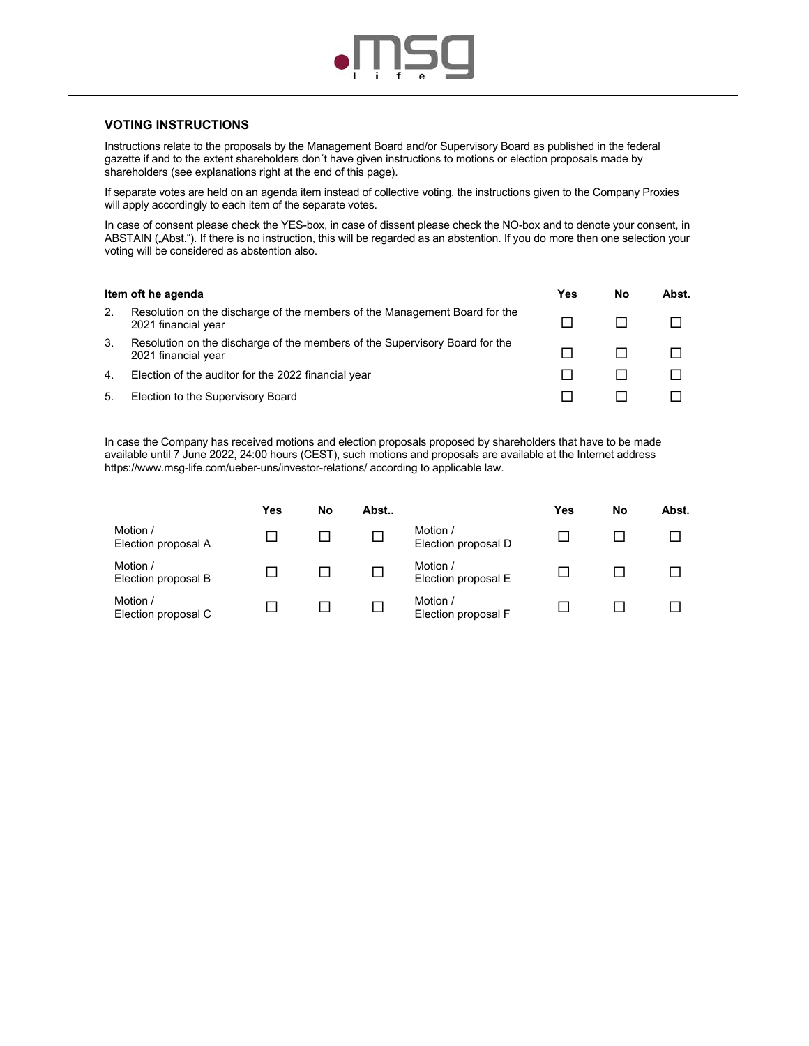

## **VOTING INSTRUCTIONS**

Instructions relate to the proposals by the Management Board and/or Supervisory Board as published in the federal gazette if and to the extent shareholders don´t have given instructions to motions or election proposals made by shareholders (see explanations right at the end of this page).

If separate votes are held on an agenda item instead of collective voting, the instructions given to the Company Proxies will apply accordingly to each item of the separate votes.

In case of consent please check the YES-box, in case of dissent please check the NO-box and to denote your consent, in ABSTAIN ("Abst."). If there is no instruction, this will be regarded as an abstention. If you do more then one selection your voting will be considered as abstention also.

| Item oft he agenda |                                                                                                    |  | No | Abst. |
|--------------------|----------------------------------------------------------------------------------------------------|--|----|-------|
| 2.                 | Resolution on the discharge of the members of the Management Board for the<br>2021 financial year  |  |    |       |
| 3.                 | Resolution on the discharge of the members of the Supervisory Board for the<br>2021 financial year |  |    |       |
| 4.                 | Election of the auditor for the 2022 financial year                                                |  |    |       |
| 5.                 | Election to the Supervisory Board                                                                  |  |    |       |

In case the Company has received motions and election proposals proposed by shareholders that have to be made available until 7 June 2022, 24:00 hours (CEST), such motions and proposals are available at the Internet address https://www.msg-life.com/ueber-uns/investor-relations/ according to applicable law.

|                                 | Yes | No | Abst |                                 | Yes | No | Abst. |
|---------------------------------|-----|----|------|---------------------------------|-----|----|-------|
| Motion /<br>Election proposal A |     |    |      | Motion /<br>Election proposal D |     |    |       |
| Motion /<br>Election proposal B |     |    |      | Motion /<br>Election proposal E |     |    |       |
| Motion /<br>Election proposal C |     |    |      | Motion /<br>Election proposal F |     |    |       |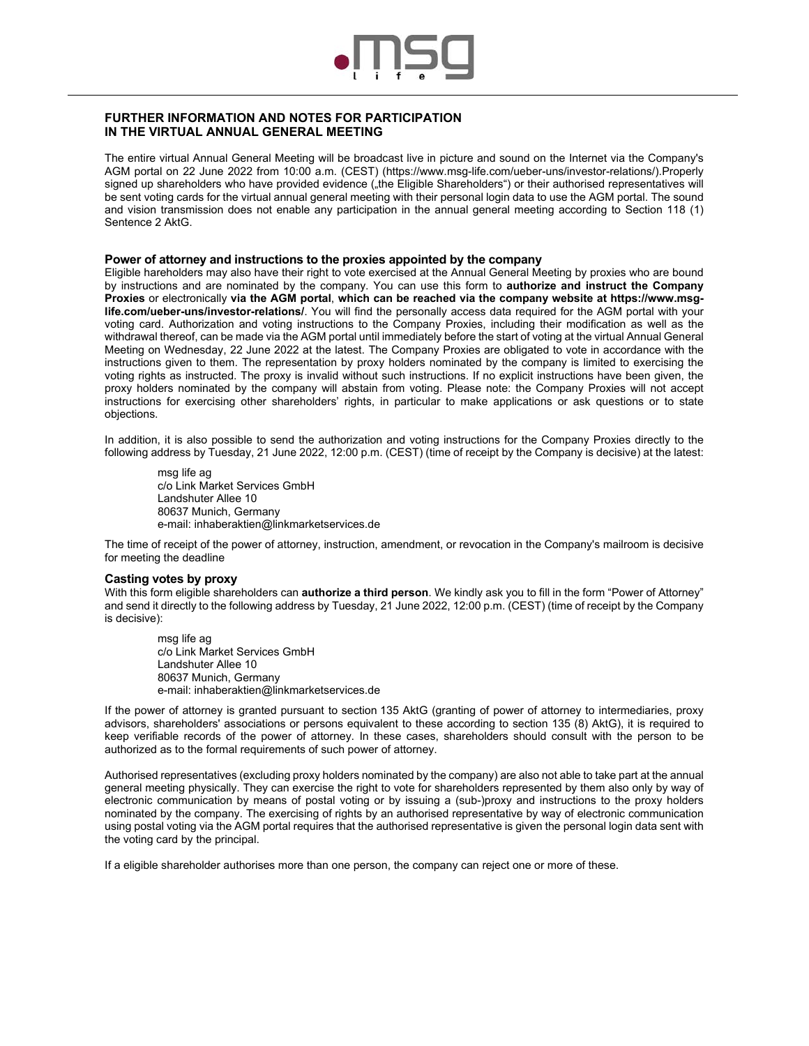

# **FURTHER INFORMATION AND NOTES FOR PARTICIPATION IN THE VIRTUAL ANNUAL GENERAL MEETING**

The entire virtual Annual General Meeting will be broadcast live in picture and sound on the Internet via the Company's AGM portal on 22 June 2022 from 10:00 a.m. (CEST) (https://www.msg-life.com/ueber-uns/investor-relations/).Properly signed up shareholders who have provided evidence ("the Eligible Shareholders") or their authorised representatives will be sent voting cards for the virtual annual general meeting with their personal login data to use the AGM portal. The sound and vision transmission does not enable any participation in the annual general meeting according to Section 118 (1) Sentence 2 AktG.

### **Power of attorney and instructions to the proxies appointed by the company**

Eligible hareholders may also have their right to vote exercised at the Annual General Meeting by proxies who are bound by instructions and are nominated by the company. You can use this form to **authorize and instruct the Company Proxies** or electronically **via the AGM portal**, **which can be reached via the company website at https://www.msglife.com/ueber-uns/investor-relations/**. You will find the personally access data required for the AGM portal with your voting card. Authorization and voting instructions to the Company Proxies, including their modification as well as the withdrawal thereof, can be made via the AGM portal until immediately before the start of voting at the virtual Annual General Meeting on Wednesday, 22 June 2022 at the latest. The Company Proxies are obligated to vote in accordance with the instructions given to them. The representation by proxy holders nominated by the company is limited to exercising the voting rights as instructed. The proxy is invalid without such instructions. If no explicit instructions have been given, the proxy holders nominated by the company will abstain from voting. Please note: the Company Proxies will not accept instructions for exercising other shareholders' rights, in particular to make applications or ask questions or to state objections.

In addition, it is also possible to send the authorization and voting instructions for the Company Proxies directly to the following address by Tuesday, 21 June 2022, 12:00 p.m. (CEST) (time of receipt by the Company is decisive) at the latest:

msg life ag c/o Link Market Services GmbH Landshuter Allee 10 80637 Munich, Germany e-mail: inhaberaktien@linkmarketservices.de

The time of receipt of the power of attorney, instruction, amendment, or revocation in the Company's mailroom is decisive for meeting the deadline

### **Casting votes by proxy**

With this form eligible shareholders can **authorize a third person**. We kindly ask you to fill in the form "Power of Attorney" and send it directly to the following address by Tuesday, 21 June 2022, 12:00 p.m. (CEST) (time of receipt by the Company is decisive):

msg life ag c/o Link Market Services GmbH Landshuter Allee 10 80637 Munich, Germany e-mail: inhaberaktien@linkmarketservices.de

If the power of attorney is granted pursuant to section 135 AktG (granting of power of attorney to intermediaries, proxy advisors, shareholders' associations or persons equivalent to these according to section 135 (8) AktG), it is required to keep verifiable records of the power of attorney. In these cases, shareholders should consult with the person to be authorized as to the formal requirements of such power of attorney.

Authorised representatives (excluding proxy holders nominated by the company) are also not able to take part at the annual general meeting physically. They can exercise the right to vote for shareholders represented by them also only by way of electronic communication by means of postal voting or by issuing a (sub-)proxy and instructions to the proxy holders nominated by the company. The exercising of rights by an authorised representative by way of electronic communication using postal voting via the AGM portal requires that the authorised representative is given the personal login data sent with the voting card by the principal.

If a eligible shareholder authorises more than one person, the company can reject one or more of these.